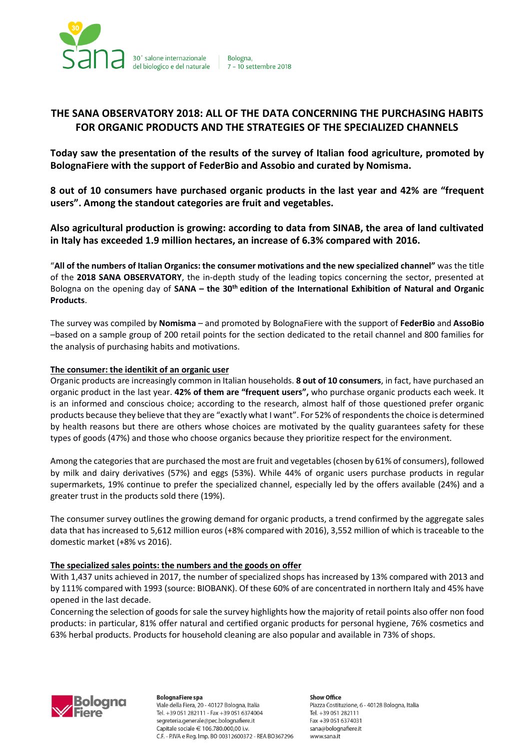

# **THE SANA OBSERVATORY 2018: ALL OF THE DATA CONCERNING THE PURCHASING HABITS FOR ORGANIC PRODUCTS AND THE STRATEGIES OF THE SPECIALIZED CHANNELS**

Bologna.

**Today saw the presentation of the results of the survey of Italian food agriculture, promoted by BolognaFiere with the support of FederBio and Assobio and curated by Nomisma.**

**8 out of 10 consumers have purchased organic products in the last year and 42% are "frequent users". Among the standout categories are fruit and vegetables.**

**Also agricultural production is growing: according to data from SINAB, the area of land cultivated in Italy has exceeded 1.9 million hectares, an increase of 6.3% compared with 2016.**

"**All of the numbers of Italian Organics: the consumer motivations and the new specialized channel"** was the title of the **2018 SANA OBSERVATORY**, the in-depth study of the leading topics concerning the sector, presented at Bologna on the opening day of **SANA – the 30th edition of the International Exhibition of Natural and Organic Products**.

The survey was compiled by **Nomisma** – and promoted by BolognaFiere with the support of **FederBio** and **AssoBio** –based on a sample group of 200 retail points for the section dedicated to the retail channel and 800 families for the analysis of purchasing habits and motivations.

#### **The consumer: the identikit of an organic user**

Organic products are increasingly common in Italian households. **8 out of 10 consumers**, in fact, have purchased an organic product in the last year. **42% of them are "frequent users",** who purchase organic products each week. It is an informed and conscious choice; according to the research, almost half of those questioned prefer organic products because they believe that they are "exactly what I want". For 52% of respondents the choice is determined by health reasons but there are others whose choices are motivated by the quality guarantees safety for these types of goods (47%) and those who choose organics because they prioritize respect for the environment.

Among the categories that are purchased the most are fruit and vegetables (chosen by 61% of consumers), followed by milk and dairy derivatives (57%) and eggs (53%). While 44% of organic users purchase products in regular supermarkets, 19% continue to prefer the specialized channel, especially led by the offers available (24%) and a greater trust in the products sold there (19%).

The consumer survey outlines the growing demand for organic products, a trend confirmed by the aggregate sales data that has increased to 5,612 million euros (+8% compared with 2016), 3,552 million of which is traceable to the domestic market (+8% vs 2016).

# **The specialized sales points: the numbers and the goods on offer**

With 1,437 units achieved in 2017, the number of specialized shops has increased by 13% compared with 2013 and by 111% compared with 1993 (source: BIOBANK). Of these 60% of are concentrated in northern Italy and 45% have opened in the last decade.

Concerning the selection of goods for sale the survey highlights how the majority of retail points also offer non food products: in particular, 81% offer natural and certified organic products for personal hygiene, 76% cosmetics and 63% herbal products. Products for household cleaning are also popular and available in 73% of shops.



**BolognaFiere spa** Viale della Fiera, 20 - 40127 Bologna, Italia Tel. +39 051 282111 - Fax +39 051 6374004 segreteria.generale@pec.bolognafiere.it Capitale sociale € 106.780.000,00 i.v. C.F. - P.IVA e Reg. Imp. BO 00312600372 - REA BO367296

**Show Office** Piazza Costituzione, 6 - 40128 Bologna, Italia Tel. +39 051 282111 Fax +39 051 6374031 sana@bolognafiere.it www.sana.it